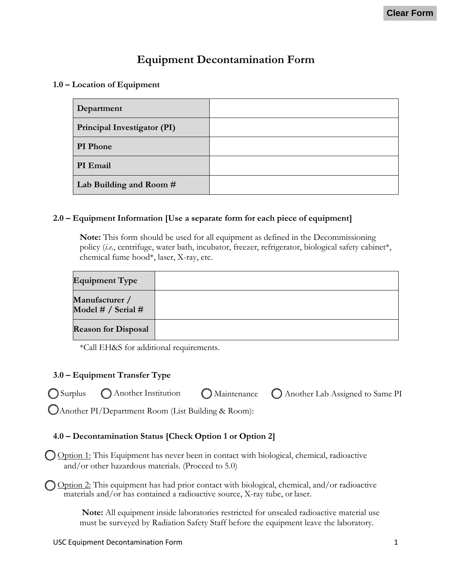# **Equipment Decontamination Form**

**1.0 – Location of Equipment**

| Department                  |  |
|-----------------------------|--|
| Principal Investigator (PI) |  |
| PI Phone                    |  |
| PI Email                    |  |
| Lab Building and Room #     |  |

#### **2.0 – Equipment Information [Use a separate form for each piece of equipment]**

**Note:** This form should be used for all equipment as defined in the Decommissioning policy (*i.e*., centrifuge, water bath, incubator, freezer, refrigerator, biological safety cabinet\*, chemical fume hood\*, laser, X-ray, etc.

| <b>Equipment Type</b>                |  |
|--------------------------------------|--|
| Manufacturer /<br>Model # / Serial # |  |
| <b>Reason for Disposal</b>           |  |

\*Call EH&S for additional requirements.

## **3.0 – Equipment Transfer Type**

|                                         |  | ○ Surplus ● △ Another Institution ● △ Maintenance ● △ Another Lab Assigned to Same PI |
|-----------------------------------------|--|---------------------------------------------------------------------------------------|
| $\bigcap_{i=1}^n$ and $\bigcap_{i=1}^n$ |  |                                                                                       |

Another PI/Department Room (List Building & Room):

## **4.0 – Decontamination Status [Check Option 1 or Option 2]**

O Option 1: This Equipment has never been in contact with biological, chemical, radioactive and/or other hazardous materials. (Proceed to 5.0)

O Option 2: This equipment has had prior contact with biological, chemical, and/or radioactive materials and/or has contained a radioactive source, X-ray tube, or laser.

> **Note:** All equipment inside laboratories restricted for unsealed radioactive material use must be surveyed by Radiation Safety Staff before the equipment leave the laboratory.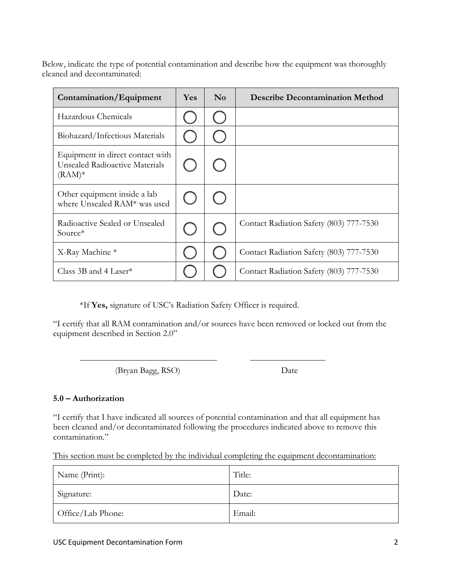Below, indicate the type of potential contamination and describe how the equipment was thoroughly cleaned and decontaminated:

| Contamination/Equipment                                                        | <b>Yes</b> | $\bf No$ | <b>Describe Decontamination Method</b>  |
|--------------------------------------------------------------------------------|------------|----------|-----------------------------------------|
| Hazardous Chemicals                                                            |            |          |                                         |
| Biohazard/Infectious Materials                                                 |            |          |                                         |
| Equipment in direct contact with<br>Unsealed Radioactive Materials<br>$(RAM)*$ |            |          |                                         |
| Other equipment inside a lab<br>where Unsealed RAM* was used                   |            |          |                                         |
| Radioactive Sealed or Unsealed<br>Source*                                      |            |          | Contact Radiation Safety (803) 777-7530 |
| X-Ray Machine *                                                                |            |          | Contact Radiation Safety (803) 777-7530 |
| Class 3B and 4 Laser <sup>*</sup>                                              |            |          | Contact Radiation Safety (803) 777-7530 |

\*If **Yes,** signature of USC's Radiation Safety Officer is required.

"I certify that all RAM contamination and/or sources have been removed or locked out from the equipment described in Section 2.0"

(Bryan Bagg, RSO) Date

#### **5.0 – Authorization**

"I certify that I have indicated all sources of potential contamination and that all equipment has been cleaned and/or decontaminated following the procedures indicated above to remove this contamination."

This section must be completed by the individual completing the equipment decontamination:

| Name (Print):     | Title: |
|-------------------|--------|
| Signature:        | Date:  |
| Office/Lab Phone: | Email: |